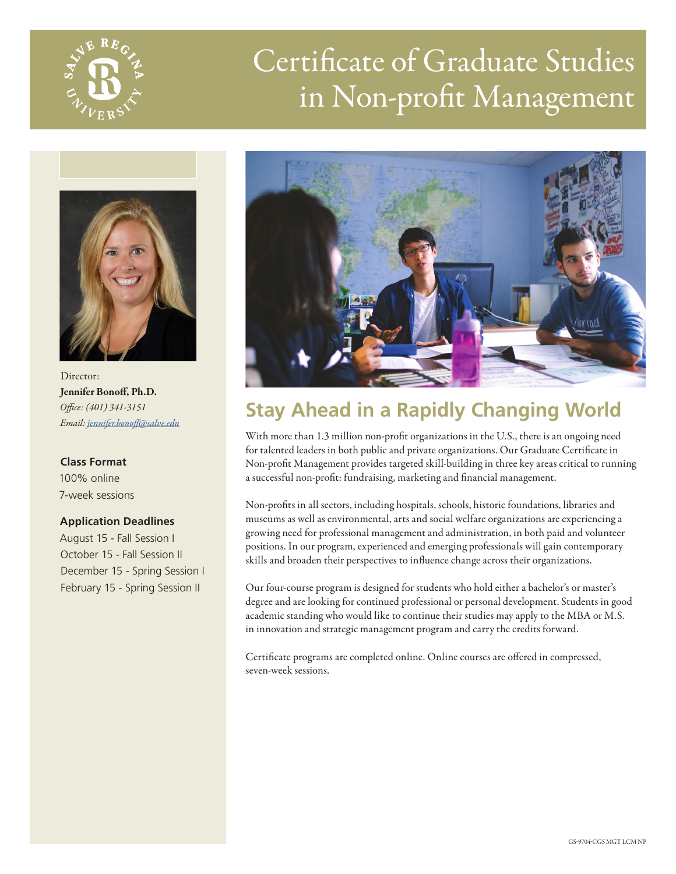

# Certificate of Graduate Studies in Non-profit Management



Director: Jennifer Bonoff, Ph.D. *Office: (401) 341-3151 Email: [jennifer.bonoff@salve.edu](mailto:jennifer.bonoff%40salve.edu?subject=)*

**Class Format** 100% online 7-week sessions

#### **Application Deadlines**

August 15 - Fall Session I October 15 - Fall Session II December 15 - Spring Session I February 15 - Spring Session II



## **Stay Ahead in a Rapidly Changing World**

With more than 1.3 million non-profit organizations in the U.S., there is an ongoing need for talented leaders in both public and private organizations. Our Graduate Certificate in Non-profit Management provides targeted skill-building in three key areas critical to running a successful non-profit: fundraising, marketing and financial management.

Non-profits in all sectors, including hospitals, schools, historic foundations, libraries and museums as well as environmental, arts and social welfare organizations are experiencing a growing need for professional management and administration, in both paid and volunteer positions. In our program, experienced and emerging professionals will gain contemporary skills and broaden their perspectives to influence change across their organizations.

Our four-course program is designed for students who hold either a bachelor's or master's degree and are looking for continued professional or personal development. Students in good academic standing who would like to continue their studies may apply to the MBA or M.S. in innovation and strategic management program and carry the credits forward.

Certificate programs are completed online. Online courses are offered in compressed, seven-week sessions.